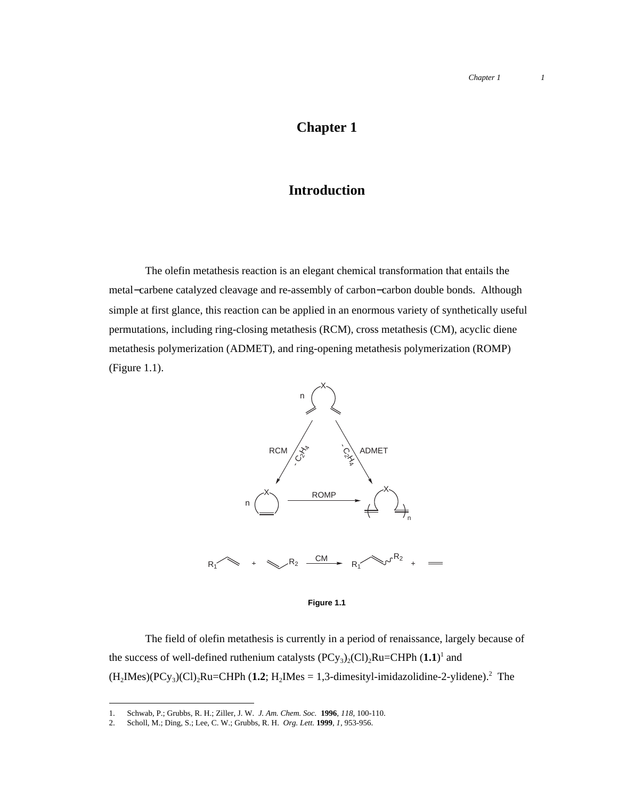## **Chapter 1**

## **Introduction**

The olefin metathesis reaction is an elegant chemical transformation that entails the metal−carbene catalyzed cleavage and re-assembly of carbon−carbon double bonds. Although simple at first glance, this reaction can be applied in an enormous variety of synthetically useful permutations, including ring-closing metathesis (RCM), cross metathesis (CM), acyclic diene metathesis polymerization (ADMET), and ring-opening metathesis polymerization (ROMP) (Figure 1.1).



## **Figure 1.1**

The field of olefin metathesis is currently in a period of renaissance, largely because of the success of well-defined ruthenium catalysts  $(PCy_3)_2(Cl)_2Ru=CHPh (1.1)^1$  and  $(H_2Mes)(PCy_3)(Cl)_2Ru=CHPh (1.2; H_2Mes = 1,3-dimensional dimesity1-imidazolidine-2-ylidene).$ <sup>2</sup> The

 <sup>1.</sup> Schwab, P.; Grubbs, R. H.; Ziller, J. W. *J. Am. Chem. Soc.* **<sup>1996</sup>**, *118*, 100-110.

<sup>2.</sup> Scholl, M.; Ding, S.; Lee, C. W.; Grubbs, R. H. *Org. Lett.* **1999**, *1*, 953-956.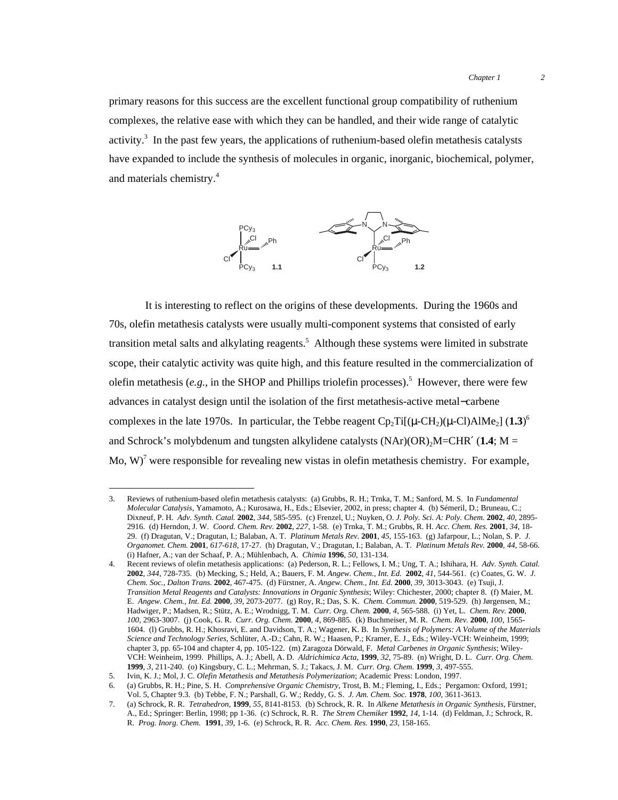primary reasons for this success are the excellent functional group compatibility of ruthenium complexes, the relative ease with which they can be handled, and their wide range of catalytic activity.<sup>3</sup> In the past few years, the applications of ruthenium-based olefin metathesis catalysts have expanded to include the synthesis of molecules in organic, inorganic, biochemical, polymer, and materials chemistry.4



It is interesting to reflect on the origins of these developments. During the 1960s and 70s, olefin metathesis catalysts were usually multi-component systems that consisted of early transition metal salts and alkylating reagents.<sup>5</sup> Although these systems were limited in substrate scope, their catalytic activity was quite high, and this feature resulted in the commercialization of olefin metathesis (e.g., in the SHOP and Phillips triolefin processes).<sup>5</sup> However, there were few advances in catalyst design until the isolation of the first metathesis-active metal−carbene complexes in the late 1970s. In particular, the Tebbe reagent  $\text{Cp}_2\text{Ti}[(\mu\text{-CH}_2)(\mu\text{-Cl})\text{AlMe}_2]$  (1.3)<sup>6</sup> and Schrock's molybdenum and tungsten alkylidene catalysts  $(NAr)(OR)_{2}M=CHR' (1.4; M=$ Mo, W)<sup>7</sup> were responsible for revealing new vistas in olefin metathesis chemistry. For example,

 <sup>3.</sup> Reviews of ruthenium-based olefin metathesis catalysts: (a) Grubbs, R. H.; Trnka, T. M.; Sanford, M. S. In *Fundamental Molecular Catalysis*, Yamamoto, A.; Kurosawa, H., Eds.; Elsevier, 2002, in press; chapter 4. (b) Sémeril, D.; Bruneau, C.; Dixneuf, P. H. *Adv. Synth. Catal.* **2002**, *344*, 585-595. (c) Frenzel, U.; Nuyken, O. *J. Poly. Sci. A: Poly. Chem.* **2002**, *40*, 2895- 2916. (d) Herndon, J. W. *Coord. Chem. Rev.* **2002**, *227*, 1-58. (e) Trnka, T. M.; Grubbs, R. H. *Acc. Chem. Res.* **2001**, *34*, 18- 29. (f) Dragutan, V.; Dragutan, I.; Balaban, A. T. *Platinum Metals Rev.* **2001**, *45*, 155-163. (g) Jafarpour, L.; Nolan, S. P. *J. Organomet. Chem.* **2001**, *617-618*, 17-27. (h) Dragutan, V.; Dragutan, I.; Balaban, A. T. *Platinum Metals Rev.* **2000**, *44*, 58-66. (i) Hafner, A.; van der Schaaf, P. A.; Mühlenbach, A. *Chimia* **1996**, *50*, 131-134.

<sup>4.</sup> Recent reviews of olefin metathesis applications: (a) Pederson, R. L.; Fellows, I. M.; Ung, T. A.; Ishihara, H. *Adv. Synth. Catal.* **2002**, *344*, 728-735. (b) Mecking, S.; Held, A.; Bauers, F. M. *Angew. Chem., Int. Ed.* **2002**, *41*, 544-561. (c) Coates, G. W. *J. Chem. Soc., Dalton Trans.* **2002**, 467-475. (d) Fürstner, A. *Angew. Chem., Int. Ed.* **2000**, *39,* 3013-3043. (e) Tsuji, J. *Transition Metal Reagents and Catalysts: Innovations in Organic Synthesis*; Wiley: Chichester, 2000; chapter 8. (f) Maier, M. E. *Angew. Chem., Int. Ed.* **2000**, *39*, 2073-2077. (g) Roy, R.; Das, S. K. *Chem. Commun.* **2000**, 519-529. (h) Jørgensen, M.; Hadwiger, P.; Madsen, R.; Stütz, A. E.; Wrodnigg, T. M. *Curr. Org. Chem.* **2000**, *4*, 565-588. (i) Yet, L. *Chem. Rev.* **2000**, *100*, 2963-3007. (j) Cook, G. R. *Curr. Org. Chem.* **2000**, *4*, 869-885. (k) Buchmeiser, M. R. *Chem. Rev.* **2000**, *100*, 1565- 1604. (l) Grubbs, R. H.; Khosravi, E. and Davidson, T. A.; Wagener, K. B. In *Synthesis of Polymers: A Volume of the Materials Science and Technology Series*, Schlüter, A.-D.; Cahn, R. W.; Haasen, P.; Kramer, E. J., Eds.; Wiley-VCH: Weinheim, 1999; chapter 3, pp. 65-104 and chapter 4, pp. 105-122. (m) Zaragoza Dörwald, F. *Metal Carbenes in Organic Synthesis*; Wiley-VCH: Weinheim, 1999. Phillips, A. J.; Abell, A. D. *Aldrichimica Acta*, **1999**, *32*, 75-89. (n) Wright, D. L. *Curr. Org. Chem.* **1999**, *3*, 211-240. (o) Kingsbury, C. L.; Mehrman, S. J.; Takacs, J. M. *Curr. Org. Chem.* **1999**, *3*, 497-555.

<sup>5.</sup> Ivin, K. J.; Mol, J. C. *Olefin Metathesis and Metathesis Polymerization*; Academic Press: London, 1997.

<sup>6.</sup> (a) Grubbs, R. H.; Pine, S. H. *Comprehensive Organic Chemistry*, Trost, B. M.; Fleming, I., Eds.; Pergamon: Oxford, 1991; Vol. 5, Chapter 9.3. (b) Tebbe, F. N.; Parshall, G. W.; Reddy, G. S. *J. Am. Chem. Soc.* **1978**, *100*, 3611-3613.

<sup>7.</sup> (a) Schrock, R. R. *Tetrahedron*, **1999**, *55*, 8141-8153. (b) Schrock, R. R. In *Alkene Metathesis in Organic Synthesis*, Fürstner, A., Ed.; Springer: Berlin, 1998; pp 1-36. (c) Schrock, R. R. *The Strem Chemiker* **1992**, *14*, 1-14. (d) Feldman, J.; Schrock, R. R. *Prog. Inorg. Chem.* **1991**, *39*, 1-6. (e) Schrock, R. R. *Acc. Chem. Res.* **1990**, *23*, 158-165.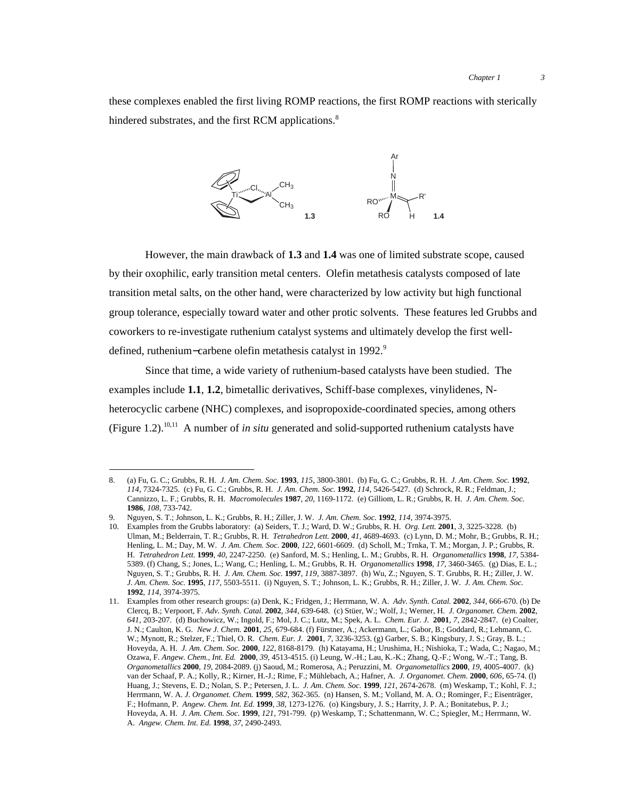these complexes enabled the first living ROMP reactions, the first ROMP reactions with sterically hindered substrates, and the first RCM applications.<sup>8</sup>



However, the main drawback of **1.3** and **1.4** was one of limited substrate scope, caused by their oxophilic, early transition metal centers. Olefin metathesis catalysts composed of late transition metal salts, on the other hand, were characterized by low activity but high functional group tolerance, especially toward water and other protic solvents. These features led Grubbs and coworkers to re-investigate ruthenium catalyst systems and ultimately develop the first welldefined, ruthenium–carbene olefin metathesis catalyst in 1992.<sup>9</sup>

Since that time, a wide variety of ruthenium-based catalysts have been studied. The examples include **1.1**, **1.2**, bimetallic derivatives, Schiff-base complexes, vinylidenes, Nheterocyclic carbene (NHC) complexes, and isopropoxide-coordinated species, among others (Figure 1.2).10,11 A number of *in situ* generated and solid-supported ruthenium catalysts have

 <sup>8.</sup> (a) Fu, G. C.; Grubbs, R. H. *J. Am. Chem. Soc.* **<sup>1993</sup>**, *115*, 3800-3801. (b) Fu, G. C.; Grubbs, R. H. *J. Am. Chem. Soc.* **<sup>1992</sup>**, *114*, 7324-7325. (c) Fu, G. C.; Grubbs, R. H. *J. Am. Chem. Soc.* **1992**, *114*, 5426-5427. (d) Schrock, R. R.; Feldman, J.; Cannizzo, L. F.; Grubbs, R. H. *Macromolecules* **1987**, *20*, 1169-1172. (e) Gilliom, L. R.; Grubbs, R. H. *J. Am. Chem. Soc.* **1986**, *108*, 733-742.

<sup>9.</sup> Nguyen, S. T.; Johnson, L. K.; Grubbs, R. H.; Ziller, J. W. *J. Am. Chem. Soc.* **1992**, *114*, 3974-3975.

<sup>10.</sup> Examples from the Grubbs laboratory: (a) Seiders, T. J.; Ward, D. W.; Grubbs, R. H. *Org. Lett.* **2001**, *3*, 3225-3228. (b) Ulman, M.; Belderrain, T. R.; Grubbs, R. H. *Tetrahedron Lett.* **2000**, *41*, 4689-4693. (c) Lynn, D. M.; Mohr, B.; Grubbs, R. H.; Henling, L. M.; Day, M. W. *J. Am. Chem. Soc.* **2000**, *122*, 6601-6609. (d) Scholl, M.; Trnka, T. M.; Morgan, J. P.; Grubbs, R. H. *Tetrahedron Lett.* **1999**, *40*, 2247-2250. (e) Sanford, M. S.; Henling, L. M.; Grubbs, R. H. *Organometallics* **1998**, *17*, 5384- 5389. (f) Chang, S.; Jones, L.; Wang, C.; Henling, L. M.; Grubbs, R. H. *Organometallics* **1998**, *17*, 3460-3465. (g) Dias, E. L.; Nguyen, S. T.; Grubbs, R. H. *J. Am. Chem. Soc.* **1997**, *119*, 3887-3897. (h) Wu, Z.; Nguyen, S. T. Grubbs, R. H.; Ziller, J. W. *J. Am. Chem. Soc.* **1995**, *117*, 5503-5511. (i) Nguyen, S. T.; Johnson, L. K.; Grubbs, R. H.; Ziller, J. W. *J. Am. Chem. Soc.* **1992**, *114*, 3974-3975.

<sup>11.</sup> Examples from other research groups: (a) Denk, K.; Fridgen, J.; Herrmann, W. A. *Adv. Synth. Catal.* **2002**, *344*, 666-670. (b) De Clercq, B.; Verpoort, F. *Adv. Synth. Catal.* **2002**, *344*, 639-648. (c) Stüer, W.; Wolf, J.; Werner, H. *J. Organomet. Chem.* **2002**, *641*, 203-207. (d) Buchowicz, W.; Ingold, F.; Mol, J. C.; Lutz, M.; Spek, A. L. *Chem. Eur. J.* **2001**, *7*, 2842-2847. (e) Coalter, J. N.; Caulton, K. G. *New J. Chem.* **2001**, *25*, 679-684. (f) Fürstner, A.; Ackermann, L.; Gabor, B.; Goddard, R.; Lehmann, C. W.; Mynott, R.; Stelzer, F.; Thiel, O. R. *Chem. Eur. J.* **2001**, *7*, 3236-3253. (g) Garber, S. B.; Kingsbury, J. S.; Gray, B. L.; Hoveyda, A. H. *J. Am. Chem. Soc.* **2000**, *122*, 8168-8179. (h) Katayama, H.; Urushima, H.; Nishioka, T.; Wada, C.; Nagao, M.; Ozawa, F. *Angew. Chem., Int. Ed.* **2000**, *39*, 4513-4515. (i) Leung, W.-H.; Lau, K.-K.; Zhang, Q.-F.; Wong, W.-T.; Tang, B. *Organometallics* **2000**, *19*, 2084-2089. (j) Saoud, M.; Romerosa, A.; Peruzzini, M. *Organometallics* **2000**, *19*, 4005-4007. (k) van der Schaaf, P. A.; Kolly, R.; Kirner, H.-J.; Rime, F.; Mühlebach, A.; Hafner, A. *J. Organomet. Chem.* **2000**, *606*, 65-74. (l) Huang, J.; Stevens, E. D.; Nolan, S. P.; Petersen, J. L. *J. Am. Chem. Soc.* **1999**, *121*, 2674-2678. (m) Weskamp, T.; Kohl, F. J.; Herrmann, W. A. *J. Organomet. Chem.* **1999**, *582*, 362-365. (n) Hansen, S. M.; Volland, M. A. O.; Rominger, F.; Eisenträger, F.; Hofmann, P. *Angew. Chem. Int. Ed.* **1999**, *38*, 1273-1276. (o) Kingsbury, J. S.; Harrity, J. P. A.; Bonitatebus, P. J.; Hoveyda, A. H. *J. Am. Chem. Soc.* **1999**, *121*, 791-799. (p) Weskamp, T.; Schattenmann, W. C.; Spiegler, M.; Herrmann, W. A. *Angew. Chem. Int. Ed.* **1998**, *37*, 2490-2493.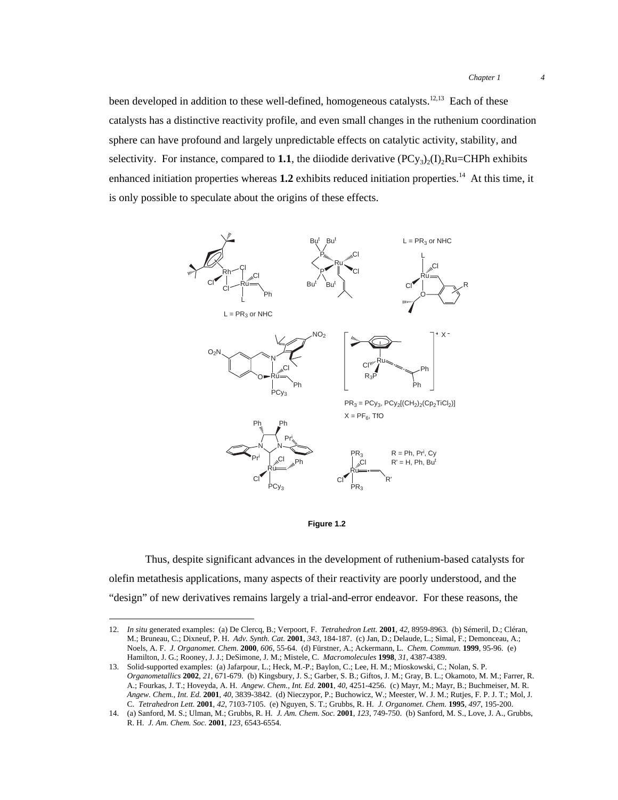been developed in addition to these well-defined, homogeneous catalysts.<sup>12,13</sup> Each of these catalysts has a distinctive reactivity profile, and even small changes in the ruthenium coordination sphere can have profound and largely unpredictable effects on catalytic activity, stability, and selectivity. For instance, compared to **1.1**, the diiodide derivative  $(PC_{y3})_2(I)$ <sub>2</sub>Ru=CHPh exhibits enhanced initiation properties whereas  $1.2$  exhibits reduced initiation properties.<sup>14</sup> At this time, it is only possible to speculate about the origins of these effects.





Thus, despite significant advances in the development of ruthenium-based catalysts for olefin metathesis applications, many aspects of their reactivity are poorly understood, and the "design" of new derivatives remains largely a trial-and-error endeavor. For these reasons, the

 <sup>12.</sup> *In situ* generated examples: (a) De Clercq, B.; Verpoort, F. *Tetrahedron Lett.* **<sup>2001</sup>**, *42*, 8959-8963. (b) Sémeril, D.; Cléran, M.; Bruneau, C.; Dixneuf, P. H. *Adv. Synth. Cat.* **2001**, *343*, 184-187. (c) Jan, D.; Delaude, L.; Simal, F.; Demonceau, A.; Noels, A. F. *J. Organomet. Chem.* **2000**, *606*, 55-64. (d) Fürstner, A.; Ackermann, L. *Chem. Commun.* **1999**, 95-96. (e) Hamilton, J. G.; Rooney, J. J.; DeSimone, J. M.; Mistele, C. *Macromolecules* **1998**, *31*, 4387-4389.

<sup>13.</sup> Solid-supported examples: (a) Jafarpour, L.; Heck, M.-P.; Baylon, C.; Lee, H. M.; Mioskowski, C.; Nolan, S. P. *Organometallics* **2002**, *21*, 671-679. (b) Kingsbury, J. S.; Garber, S. B.; Giftos, J. M.; Gray, B. L.; Okamoto, M. M.; Farrer, R. A.; Fourkas, J. T.; Hoveyda, A. H. *Angew. Chem., Int. Ed.* **2001**, *40*, 4251-4256. (c) Mayr, M.; Mayr, B.; Buchmeiser, M. R. *Angew. Chem., Int. Ed.* **2001**, *40*, 3839-3842. (d) Nieczypor, P.; Buchowicz, W.; Meester, W. J. M.; Rutjes, F. P. J. T.; Mol, J. C. *Tetrahedron Lett.* **2001**, *42*, 7103-7105. (e) Nguyen, S. T.; Grubbs, R. H. *J. Organomet. Chem.* **1995**, *497*, 195-200.

<sup>14.</sup> (a) Sanford, M. S.; Ulman, M.; Grubbs, R. H. *J. Am. Chem. Soc.* **2001**, *123*, 749-750. (b) Sanford, M. S., Love, J. A., Grubbs, R. H. *J. Am. Chem. Soc.* **2001**, *123*, 6543-6554.